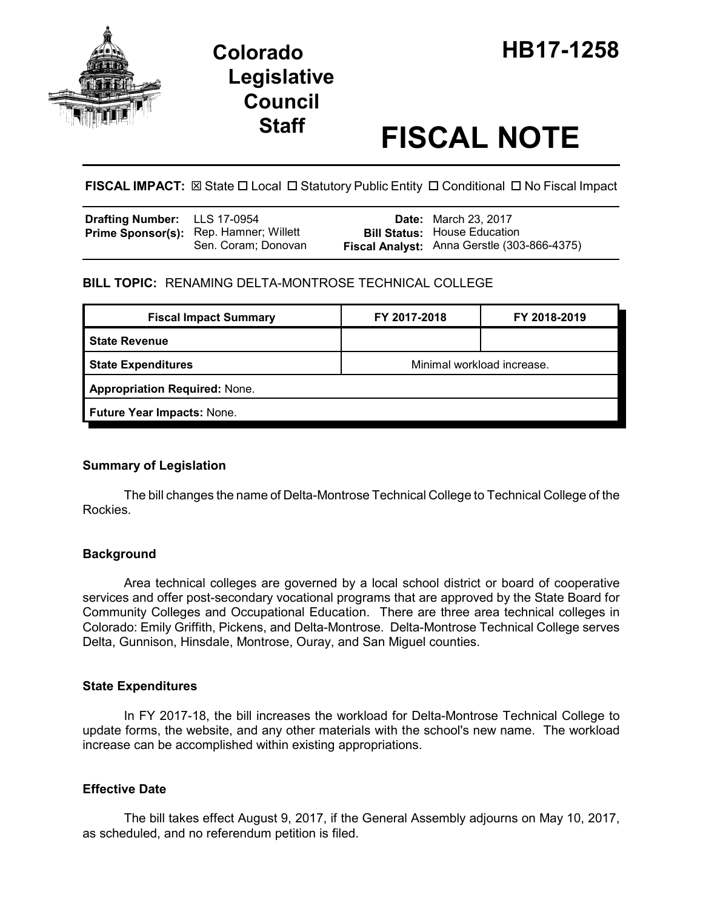



# **Staff FISCAL NOTE**

**FISCAL IMPACT:** ⊠ State □ Local □ Statutory Public Entity □ Conditional □ No Fiscal Impact

| <b>Drafting Number:</b> LLS 17-0954 |                                                                      | <b>Date:</b> March 23, 2017                                                        |
|-------------------------------------|----------------------------------------------------------------------|------------------------------------------------------------------------------------|
|                                     | <b>Prime Sponsor(s):</b> Rep. Hamner; Willett<br>Sen. Coram; Donovan | <b>Bill Status:</b> House Education<br>Fiscal Analyst: Anna Gerstle (303-866-4375) |

## **BILL TOPIC:** RENAMING DELTA-MONTROSE TECHNICAL COLLEGE

| <b>Fiscal Impact Summary</b>         | FY 2017-2018               | FY 2018-2019 |  |  |  |
|--------------------------------------|----------------------------|--------------|--|--|--|
| <b>State Revenue</b>                 |                            |              |  |  |  |
| <b>State Expenditures</b>            | Minimal workload increase. |              |  |  |  |
| <b>Appropriation Required: None.</b> |                            |              |  |  |  |
| Future Year Impacts: None.           |                            |              |  |  |  |

### **Summary of Legislation**

The bill changes the name of Delta-Montrose Technical College to Technical College of the Rockies.

### **Background**

Area technical colleges are governed by a local school district or board of cooperative services and offer post-secondary vocational programs that are approved by the State Board for Community Colleges and Occupational Education. There are three area technical colleges in Colorado: Emily Griffith, Pickens, and Delta-Montrose. Delta-Montrose Technical College serves Delta, Gunnison, Hinsdale, Montrose, Ouray, and San Miguel counties.

#### **State Expenditures**

In FY 2017-18, the bill increases the workload for Delta-Montrose Technical College to update forms, the website, and any other materials with the school's new name. The workload increase can be accomplished within existing appropriations.

### **Effective Date**

The bill takes effect August 9, 2017, if the General Assembly adjourns on May 10, 2017, as scheduled, and no referendum petition is filed.